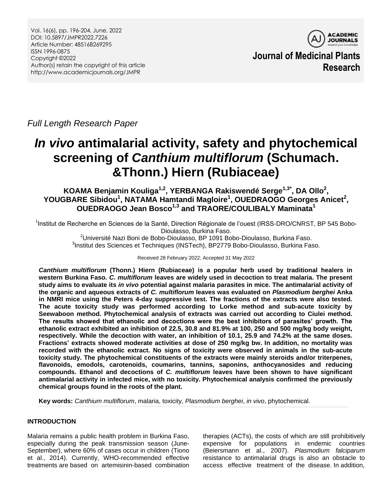Vol. 16(6), pp. 196-204, June, 2022 DOI: 10.5897/JMPR2022.7226 Article Number: 48516B269295 ISSN 1996-0875 Copyright ©2022 Author(s) retain the copyright of this article http://www.academicjournals.org/JMPR



**Journal of Medicinal Plants Research**

*Full Length Research Paper*

# *In vivo* **antimalarial activity, safety and phytochemical screening of** *Canthium multiflorum* **(Schumach. &Thonn.) Hiern (Rubiaceae)**

**KOAMA Benjamin Kouliga1,2 , YERBANGA Rakiswendé Serge1,3\* , DA Ollo<sup>2</sup> ,** YOUGBARE Sibidou<sup>1</sup>, NATAMA Hamtandi Magloire<sup>1</sup>, OUEDRAOGO Georges Anicet<sup>2</sup>, **OUEDRAOGO Jean Bosco1,3 and TRAORE/COULIBALY Maminata<sup>1</sup>**

<sup>1</sup>Institut de Recherche en Sciences de la Santé, Direction Régionale de l'ouest (IRSS-DRO/CNRST, BP 545 Bobo-Dioulasso, Burkina Faso.

 $2$ Université Nazi Boni de Bobo-Dioulasso, BP 1091 Bobo-Dioulasso, Burkina Faso. 3 Institut des Sciences et Techniques (INSTech), BP2779 Bobo-Dioulasso, Burkina Faso.

Received 28 February 2022; Accepted 31 May 2022

*Canthium multiflorum* **(Thonn.) Hiern (Rubiaceae) is a popular herb used by traditional healers in western Burkina Faso.** *C. multiflorum* **leaves are widely used in decoction to treat malaria. The present study aims to evaluate its** *in vivo* **potential against malaria parasites in mice. The antimalarial activity of the organic and aqueous extracts of** *C. multiflorum* **leaves was evaluated on** *Plasmodium berghei* **Anka in NMRI mice using the Peters 4-day suppressive test. The fractions of the extracts were also tested. The acute toxicity study was performed according to Lorke method and sub-acute toxicity by Seewaboon method. Phytochemical analysis of extracts was carried out according to Ciulei method. The results showed that ethanolic and decoctions were the best inhibitors of parasites' growth. The ethanolic extract exhibited an inhibition of 22.5, 30.8 and 81.9% at 100, 250 and 500 mg/kg body weight, respectively. While the decoction with water, an inhibition of 10.1, 25.9 and 74.2% at the same doses. Fractions' extracts showed moderate activities at dose of 250 mg/kg bw. In addition, no mortality was recorded with the ethanolic extract. No signs of toxicity were observed in animals in the sub-acute toxicity study. The phytochemical constituents of the extracts were mainly steroids and/or triterpenes, flavonoids, emodols, carotenoids, coumarins, tannins, saponins, anthocyanosides and reducing compounds. Ethanol and decoctions of** *C. multiflorum* **leaves have been shown to have significant antimalarial activity in infected mice, with no toxicity. Phytochemical analysis confirmed the previously chemical groups found in the roots of the plant.**

**Key words:** *Canthium multiflorum*, malaria, toxicity, *Plasmodium berghei*, *in vivo*, phytochemical.

# **INTRODUCTION**

Malaria remains a public health problem in Burkina Faso, especially during the peak transmission season (June-September), where 60% of cases occur in children (Tiono et al., 2014). Currently, WHO-recommended effective treatments are based on artemisinin-based combination

therapies (ACTs), the costs of which are still prohibitively expensive for populations in endemic countries (Beiersmann et al., 2007). *Plasmodium falciparum* resistance to antimalarial drugs is also an obstacle to access effective treatment of the disease. In addition,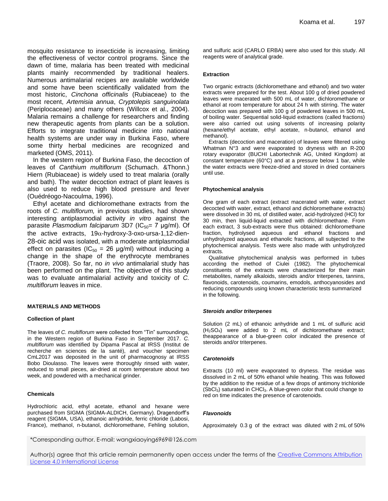mosquito resistance to insecticide is increasing, limiting the effectiveness of vector control programs. Since the dawn of time, malaria has been treated with medicinal plants mainly recommended by traditional healers. Numerous antimalarial recipes are available worldwide and some have been scientifically validated from the most historic, *Cinchona officinalis* (Rubiaceae) to the most recent, *Artemisia annua*, *Cryptolepis sanguinolata* (Periplocaceae) and many others (Willcox et al., 2004). Malaria remains a challenge for researchers and finding new therapeutic agents from plants can be a solution. Efforts to integrate traditional medicine into national health systems are under way in Burkina Faso, where some thirty herbal medicines are recognized and marketed (OMS, 2011).

In the western region of Burkina Faso, the decoction of leaves of *Canthium multiflorum* (Schumach. &Thonn.) Hiern (Rubiaceae) is widely used to treat malaria (orally and bath). The water decoction extract of plant leaves is also used to reduce high blood pressure and fever (Ouédréogo-Nacoulma, 1996).

Ethyl acetate and dichloromethane extracts from the roots of *C. multiflorum,* in previous studies, had shown interesting antiplasmodial activity *in vitro* against the parasite *Plasmodium falciparum* 3D7 (IC<sub>50</sub>= 7 μg/ml). Of the active extracts,  $19\alpha$ -hydroxy-3-oxo-ursa-1,12-dien-28-oic acid was isolated, with a moderate antiplasmodial effect on parasites ( $IC_{50} = 26$  µg/ml) without inducing a change in the shape of the erythrocyte membranes (Traore, 2008). So far, no *in vivo* antimalarial study has been performed on the plant. The objective of this study was to evaluate antimalarial activity and toxicity of *C. multiflorum* leaves in mice.

## **MATERIALS AND METHODS**

## **Collection of plant**

The leaves of *C. multiflorum* were collected from "Tin" surroundings, in the Western region of Burkina Faso in September 2017. *C. multiflorum* was identified by Dipama Pascal at IRSS (Institut de recherche en sciences de la santé), and voucher specimen CmL2017 was deposited in the unit of pharmacognosy at IRSS Bobo Dioulasso. The leaves were thoroughly rinsed with water, reduced to small pieces, air-dried at room temperature about two week, and powdered with a mechanical grinder.

## **Chemicals**

Hydrochloric acid, ethyl acetate, ethanol and hexane were purchased from SIGMA (SIGMA-ALDICH, Germany). Dragendorff's reagent (SIGMA, USA), ethanoic anhydride, ferric chloride (Labosi, France), methanol, n-butanol, dichloromethane, Fehling solution, and sulfuric acid (CARLO ERBA) were also used for this study. All reagents were of analytical grade.

## **Extraction**

Two organic extracts (dichloromethane and ethanol) and two water extracts were prepared for the test. About 100 g of dried powdered leaves were macerated with 500 mL of water, dichloromethane or ethanol at room temperature for about 24 h with stirring. The water decoction was prepared with 100 g of powdered leaves in 500 mL of boiling water. Sequential solid-liquid extractions (called fractions) were also carried out using solvents of increasing polarity (hexane/ethyl acetate, ethyl acetate, n-butanol, ethanol and methanol).

Extracts (decoction and maceration) of leaves were filtered using Whatman N°3 and were evaporated to dryness with an R-200 rotary evaporator (BUCHI Labortechnik AG, United Kingdom) at constant temperature (60°C) and at a pressure below 1 bar, while the water extracts were freeze-dried and stored in dried containers until use.

## **Phytochemical analysis**

One gram of each extract (extract macerated with water, extract decocted with water, extract, ethanol and dichloromethane extracts) were dissolved in 30 mL of distilled water, acid-hydrolyzed (HCl) for 30 min, then liquid-liquid extracted with dichloromethane. From each extract, 3 sub-extracts were thus obtained: dichloromethane fraction, hydrolysed aqueous and ethanol fractions and unhydrolyzed aqueous and ethanolic fractions, all subjected to the phytochemical analysis. Tests were also made with unhydrolyzed extracts.

Qualitative phytochemical analysis was performed in tubes according the method of Ciulei (1982). The phytochemical constituents of the extracts were characterized for their main metabolites, namely alkaloids, steroids and/or triterpenes, tannins, flavonoids, carotenoids, coumarins, emodols, anthocyanosides and reducing compounds using known characteristic tests summarized in the following.

## *Steroids and/or triterpenes*

Solution (2 mL) of ethanoic anhydride and 1 mL of sulfuric acid (H2SO4) were added to 2 mL of dichloromethane extract; theappearance of a blue-green color indicated the presence of steroids and/or triterpenes.

## *Carotenoids*

Extracts (10 ml) were evaporated to dryness. The residue was dissolved in 2 mL of 50% ethanol while heating. This was followed by the addition to the residue of a few drops of antimony trichloride (SbCl<sub>3</sub>) saturated in CHCl<sub>3</sub>. A blue-green color that could change to red on time indicates the presence of carotenoids.

## *Flavonoids*

Approximately 0.3 g of the extract was diluted with 2 mL of 50%

\*Corresponding author. E-mail: wangxiaoying6969@126.com

Author(s) agree that this article remain permanently open access under the terms of the Creative Commons Attribution [License 4.0 International License](http://creativecommons.org/licenses/by/4.0/deed.en_US)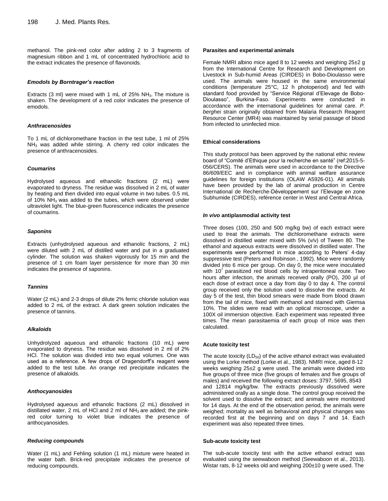methanol. The pink-red color after adding 2 to 3 fragments of magnesium ribbon and 1 mL of concentrated hydrochloric acid to the extract indicates the presence of flavonoids.

## *Emodols by Borntrager's reaction*

Extracts (3 ml) were mixed with 1 mL of 25%  $NH<sub>3</sub>$ . The mixture is shaken. The development of a red color indicates the presence of emodols.

#### *Anthracenosides*

To 1 mL of dichloromethane fraction in the test tube, 1 ml of 25%  $NH<sub>3</sub>$  was added while stirring. A cherry red color indicates the presence of anthracenosides.

#### *Coumarins*

Hydrolysed aqueous and ethanolic fractions (2 mL) were evaporated to dryness. The residue was dissolved in 2 mL of water by heating and then divided into equal volume in two tubes. 0.5 mL of 10% NH3 was added to the tubes, which were observed under ultraviolet light. The blue-green fluorescence indicates the presence of coumarins.

#### *Saponins*

Extracts (unhydrolysed aqueous and ethanolic fractions, 2 mL) were diluted with 2 mL of distilled water and put in a graduated cylinder. The solution was shaken vigorously for 15 min and the presence of 1 cm foam layer persistence for more than 30 min indicates the presence of saponins.

#### *Tannins*

Water (2 mL) and 2-3 drops of dilute 2% ferric chloride solution was added to 2 mL of the extract. A dark green solution indicates the presence of tannins.

#### *Alkaloids*

Unhydrolyzed aqueous and ethanolic fractions (10 mL) were evaporated to dryness. The residue was dissolved in 2 ml of 2% HCl. The solution was divided into two equal volumes. One was used as a reference. A few drops of Dragendorff's reagent were added to the test tube. An orange red precipitate indicates the presence of alkaloids.

#### *Anthocyanosides*

Hydrolysed aqueous and ethanolic fractions (2 mL) dissolved in distillated water, 2 mL of HCl and 2 ml of  $NH<sub>3</sub>$  are added; the pinkred color turning to violet blue indicates the presence of anthocyanosides.

## *Reducing compounds*

Water (1 mL) and Fehling solution (1 mL) mixture were heated in the water bath. Brick-red precipitate indicates the presence of reducing compounds.

#### **Parasites and experimental animals**

Female NMRI albino mice aged 8 to 12 weeks and weighing 25±2 g from the International Centre for Research and Development on Livestock in Sub-humid Areas (CIRDES) in Bobo-Dioulasso were used. The animals were housed in the same environmental conditions (temperature 25°C, 12 h photoperiod) and fed with standard food provided by "Service Régional d'Elevage de Bobo-Dioulasso", Burkina-Faso. Experiments were conducted in accordance with the international guidelines for animal care. *P. berghei* strain originally obtained from Malaria Research Reagent Resource Center (MR4) was maintained by serial passage of blood from infected to uninfected mice.

## **Ethical considerations**

This study protocol has been approved by the national ethic review board of "Comité d'Ethique pour la recherche en santé" (ref:2015-5- 056/CERS). The animals were used in accordance to the Directive 86/609/EEC and in compliance with animal welfare assurance guidelines for foreign institutions (OLAW A5926-01). All animals have been provided by the lab of animal production in Centre International de Recherche-Développement sur l'Elevage en zone Subhumide (CIRDES), reférence center in West and Central Africa.

## *In vivo* **antiplasmodial activity test**

Three doses (100, 250 and 500 mg/kg bw) of each extract were used to treat the animals. The dichloromethane extracts were dissolved in distilled water mixed with 5% (v/v) of Tween 80. The ethanol and aqueous extracts were dissolved in distilled water. The experiments were performed in mice according to Peters' 4-day suppressive test (Peters and Robinson , 1992). Mice were randomly divided into 6 mice per group. On day 0, the mice were inoculated with  $10<sup>7</sup>$  parasitized red blood cells by intraperitoneal route. Two hours after infection, the animals received orally (PO), 200 µl of each dose of extract once a day from day 0 to day 4. The control group received only the solution used to dissolve the extracts. At day 5 of the test, thin blood smears were made from blood drawn from the tail of mice, fixed with methanol and stained with Giemsa 10%. The slides were read with an optical microscope, under a 100X oil immersion objective. Each experiment was repeated three times. The mean parasitaemia of each group of mice was then calculated.

#### **Acute toxicity test**

The acute toxicity  $(LD_{50})$  of the active ethanol extract was evaluated using the Lorke method (Lorke et al., 1983). NMRI mice, aged 8-12 weeks weighing 25±2 g were used. The animals were divided into five groups of three mice (five groups of females and five groups of males) and received the following extract doses: 3797, 5695, 8543 and 12814 mg/kg/bw. The extracts previously dissolved were administered orally as a single dose. The control group received the solvent used to dissolve the extract; and animals were monitored for 14 days. At the end of the observation period, the animals were weighed; mortality as well as behavioral and physical changes was recorded first at the beginning and on days 7 and 14. Each experiment was also repeated three times.

#### **Sub-acute toxicity test**

The sub-acute toxicity test with the active ethanol extract was evaluated using the seewaboon method (Seewaboon et al., 2013). Wistar rats, 8-12 weeks old and weighing 200±10 g were used. The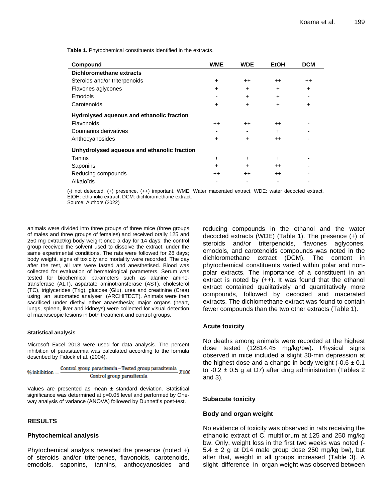**Table 1.** Phytochemical constituents identified in the extracts.

| Compound                                    | <b>WME</b> | <b>WDE</b>      | <b>EtOH</b>      | <b>DCM</b>      |
|---------------------------------------------|------------|-----------------|------------------|-----------------|
| <b>Dichloromethane extracts</b>             |            |                 |                  |                 |
| Steroids and/or triterpenoids               | $\ddot{}$  | $^{\mathrm{+}}$ | $++$             | $^{\mathrm{+}}$ |
| Flavones aglycones                          | $\ddot{}$  | $\ddot{}$       | $\ddot{}$        | $\ddot{}$       |
| Emodols                                     |            | $\ddot{}$       | $\div$           |                 |
| Carotenoids                                 | $\ddot{}$  | $\ddot{}$       | $\div$           | $\ddot{}$       |
| Hydrolysed aqueous and ethanolic fraction   |            |                 |                  |                 |
| Flavonoids                                  | $^{++}$    | $++$            | $^{\mathrm{++}}$ |                 |
| Coumarins derivatives                       |            |                 | $\div$           |                 |
| Anthocyanosides                             | $\ddot{}$  | $\ddot{}$       | $++$             |                 |
| Unhydrolysed aqueous and ethanolic fraction |            |                 |                  |                 |
| Tanins                                      | $\ddot{}$  | $\ddot{}$       | $\div$           |                 |
| Saponins                                    | $\ddot{}$  | $\ddot{}$       | $^{++}$          |                 |
| Reducing compounds                          | $^{++}$    | $++$            | $^{++}$          |                 |
| Alkaloïds                                   |            |                 |                  |                 |

(-) not detected, (+) presence, (++) important. WME: Water macerated extract, WDE: water decocted extract, EtOH: ethanolic extract, DCM: dichloromethane extract.

Source: Authors (2022)

animals were divided into three groups of three mice (three groups of males and three groups of females) and received orally 125 and 250 mg extract/kg body weight once a day for 14 days; the control group received the solvent used to dissolve the extract, under the same experimental conditions. The rats were followed for 28 days; body weight, signs of toxicity and mortality were recorded. The day after the test, all rats were fasted and anesthetised. Blood was collected for evaluation of hematological parameters. Serum was tested for biochemical parameters such as alanine aminotransferase (ALT), aspartate aminotransferase (AST), cholesterol (TC), triglycerides (Trig), glucose (Glu), urea and creatinine (Crea) using an automated analyser (ARCHITECT). Animals were then sacrificed under diethyl ether anaesthesia; major organs (heart, lungs, spleen, liver and kidneys) were collected for visual detection of macroscopic lesions in both treatment and control groups.

## **Statistical analysis**

Microsoft Excel 2013 were used for data analysis. The percent inhibition of parasitaemia was calculated according to the formula described by Fidock et al. (2004).

$$
\%  inhibition = \frac{Control\ group\ parasitemia - Tested\ group\ parasitemia}{Control\ group\ parasitemia} \ X100
$$

Values are presented as mean  $\pm$  standard deviation. Statistical significance was determined at  $p=0.05$  level and performed by Oneway analysis of variance (ANOVA) followed by Dunnett's post-test.

# **RESULTS**

# **Phytochemical analysis**

Phytochemical analysis revealed the presence (noted +) of steroids and/or triterpenes, flavonoids, carotenoids, emodols, saponins, tannins, anthocyanosides and

reducing compounds in the ethanol and the water decocted extracts (WDE) (Table 1). The presence (+) of steroids and/or triterpenoids, flavones aglycones, emodols, and carotenoids compounds was noted in the dichloromethane extract (DCM). The content in phytochemical constituents varied within polar and nonpolar extracts. The importance of a constituent in an extract is noted by  $(++)$ . It was found that the ethanol extract contained qualitatively and quantitatively more compounds, followed by decocted and macerated extracts. The dichlomethane extract was found to contain fewer compounds than the two other extracts (Table 1).

# **Acute toxicity**

No deaths among animals were recorded at the highest dose tested (12814.45 mg/kg/bw). Physical signs observed in mice included a slight 30-min depression at the highest dose and a change in body weight  $(-0.6 \pm 0.1)$ to  $-0.2 \pm 0.5$  g at D7) after drug administration (Tables 2 and 3).

# **Subacute toxicity**

# **Body and organ weight**

No evidence of toxicity was observed in rats receiving the ethanolic extract of C. multiflorum at 125 and 250 mg/kg bw. Only, weight loss in the first two weeks was noted (-  $5.4 \pm 2$  g at D14 male group dose 250 mg/kg bw), but after that, weight in all groups increased (Table 3). A slight difference in organ weight was observed between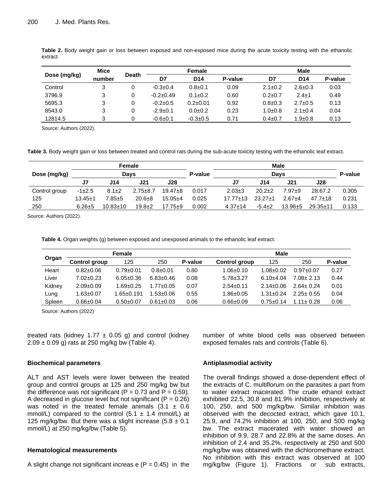| Dose (mg/kg) | <b>Mice</b> |              |             | Female          |         |               | Male            |         |  |  |
|--------------|-------------|--------------|-------------|-----------------|---------|---------------|-----------------|---------|--|--|
|              | number      | <b>Death</b> | D7          | D <sub>14</sub> | P-value | D7            | D <sub>14</sub> | P-value |  |  |
| Control      | 3           | 0            | $-0.3+0.4$  | $0.8 \pm 0.1$   | 0.09    | $2.1 \pm 0.2$ | $2.6 \pm 0.3$   | 0.03    |  |  |
| 3796.9       | 3           | 0            | $-0.2+0.49$ | $0.1 \pm 0.2$   | 0.60    | $0.2 \pm 0.7$ | $2.4 \pm 1$     | 0.49    |  |  |
| 5695.3       | 3           | 0            | $-0.2+0.5$  | $0.2 \pm 0.01$  | 0.92    | $0.8 \pm 0.3$ | $2.7 \pm 0.5$   | 0.13    |  |  |
| 8543.0       | 3           | 0            | $-2.9+0.1$  | $0.0 + 0.2$     | 0.23    | $1.0 + 0.8$   | $2.1 \pm 0.4$   | 0.04    |  |  |
| 12814.5      | 3           | 0            | $-0.6+0.1$  | $-0.3 \pm 0.5$  | 0.71    | $0.4 \pm 0.7$ | $1.9 \pm 0.8$   | 0.13    |  |  |

**Table 2.** Body weight gain or loss between exposed and non-exposed mice during the acute toxicity testing with the ethanolic extract

Source: Authors (2022).

**Table 3.** Body weight gain or loss between treated and control rats during the sub-acute toxicity testing with the ethanolic leaf extract.

|               |               | Female         |                |             |         |                |              | <b>Male</b> |               |       |
|---------------|---------------|----------------|----------------|-------------|---------|----------------|--------------|-------------|---------------|-------|
| Dose (mg/kg)  |               | Davs           |                |             | P-value | Davs           |              |             |               |       |
|               | J7            | J14            | J21            | J28         |         | J7             | J14          | J21         | J28           |       |
| Control group | $-1\pm2.5$    | $8.1 \pm 2$    | $2.75 \pm 8.7$ | $19.47 + 8$ | 0.017   | $2.03 \pm 3$   | $20.2+2$     | $7.97 + 9$  | 28.67.2       | 0.305 |
| 125           | $13.45 \pm 1$ | 7.85±5         | $20.6 + 8$     | $15.05 + 4$ | 0.025   | $17.77 \pm 13$ | $23.27+1$    | $2.67 + 4$  | $47.7 \pm 18$ | 0.231 |
| 250           | $6.26 + 5$    | $10.83 \pm 10$ | $19.8 + 2$     | $17.75 + 9$ | 0.002   | $4.37 \pm 14$  | $-5.4 \pm 2$ | $13.96 + 5$ | $29.35 + 11$  | 0.133 |

Source: Authors (2022).

**Table 4.** Organ weights (g) between exposed and unexposed animals to the ethanolic leaf extract.

|        |                      | Female           |                 | <b>Male</b> |                 |                 |               |         |  |  |
|--------|----------------------|------------------|-----------------|-------------|-----------------|-----------------|---------------|---------|--|--|
| Organ  | <b>Control group</b> | 125              | 250             | P-value     | Control group   | 125             | 250           | P-value |  |  |
| Heart  | $0.82 \pm 0.06$      | $0.79 \pm 0.01$  | $0.8 \pm 0.01$  | 0.80        | $1.06 \pm 0.10$ | $1.08 + 0.02$   | $0.97 + 0.07$ | 0.27    |  |  |
| Liver  | $7.02 + 0.23$        | $6.05 \pm 0.36$  | $6.83 \pm 0.46$ | 0.08        | $5.78 \pm 3.27$ | $6.10 + 4.04$   | $7.08 + 2.13$ | 0.44    |  |  |
| Kidney | $2.09 \pm 0.09$      | $1.69 \pm 0.25$  | $1.77 + 0.05$   | 0.07        | $2.54 \pm 0.11$ | $2.14 \pm 0.06$ | $2.64 + 0.24$ | 0.01    |  |  |
| Lung   | $0.63 \pm 0.07$      | $1.65 \pm 0.191$ | $.53 + 0.06$    | 0.55        | $1.86 \pm 0.05$ | $1.31 + 0.24$   | $2.25 + 0.55$ | 0.04    |  |  |
| Spleen | $0.66 \pm 0.04$      | $0.50+0.07$      | $0.61 \pm 0.03$ | 0.06        | $0.66 \pm 0.09$ | $0.75 + 0.14$   | $1.11 + 0.28$ | 0.06    |  |  |

Source: Authors (2022)

treated rats (kidney 1.77  $\pm$  0.05 g) and control (kidney  $2.09 \pm 0.09$  g) rats at 250 mg/kg bw (Table 4).

# **Biochemical parameters**

ALT and AST levels were lower between the treated group and control groups at 125 and 250 mg/kg bw but the difference was not significant ( $P = 0.73$  and  $P = 0.59$ ). A decreased in glucose level but not significant ( $P = 0.26$ ) was noted in the treated female animals  $(3.1 \pm 0.6)$ mmol/L) compared to the control  $(5.1 \pm 1.4 \text{ mmol/L})$  at 125 mg/kg/bw. But there was a slight increase  $(5.8 \pm 0.1)$ mmol/L) at 250 mg/kg/bw (Table 5).

# **Hematological measurements**

A slight change not significant increas  $e$  (P = 0.45) in the

number of white blood cells was observed between exposed females rats and controls (Table 6).

# **Antiplasmodial activity**

The overall findings showed a dose-dependent effect of the extracts of C. multiflorum on the parasites a part from to water extract macerated. The crude ethanol extract exhibited 22.5, 30.8 and 81.9% inhibition, respectively at 100, 250, and 500 mg/kg/bw. Similar inhibition was observed with the decocted extract, which gave 10.1, 25.9, and 74.2% inhibition at 100, 250, and 500 mg/kg bw. The extract macerated with water showed an inhibition of 9.9, 28.7 and 22.8% at the same doses. An inhibition of 2.4 and 35.2%, respectively at 250 and 500 mg/kg/bw was obtained with the dichloromethane extract. No inhibition with this extract was observed at 100 mg/kg/bw (Figure 1). Fractions or sub extracts,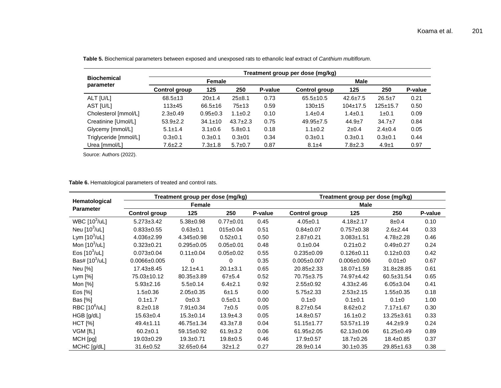|                                 | Treatment group per dose (mg/kg) |               |                |         |                 |                |                |         |  |  |
|---------------------------------|----------------------------------|---------------|----------------|---------|-----------------|----------------|----------------|---------|--|--|
| <b>Biochemical</b><br>parameter |                                  | Female        |                |         | <b>Male</b>     |                |                |         |  |  |
|                                 | Control group                    | 125           | 250            | P-value | Control group   | 125            | 250            | P-value |  |  |
| ALT [U/L]                       | $68.5 \pm 13$                    | 20±1.4        | $25 + 8.1$     | 0.73    | $65.5 \pm 10.5$ | $42.6 \pm 7.5$ | $26.5 \pm 7$   | 0.21    |  |  |
| AST [U/L]                       | $113 + 45$                       | $66.5 \pm 16$ | $75 + 13$      | 0.59    | $130+15$        | $104 \pm 17.5$ | $125 \pm 15.7$ | 0.50    |  |  |
| Cholesterol [mmol/L]            | $2.3 \pm 0.49$                   | $0.95 + 0.3$  | $1.1 \pm 0.2$  | 0.10    | $1.4 \pm 0.4$   | $1.4 \pm 0.1$  | $1 \pm 0.1$    | 0.09    |  |  |
| Creatinine [Umol/L]             | $53.9 \pm 2.2$                   | $34.1 \pm 10$ | $43.7 \pm 2.3$ | 0.75    | $49.95 \pm 7.5$ | $44.9 \pm 7$   | $34.7 \pm 7$   | 0.84    |  |  |
| Glycemy [mmol/L]                | $5.1 \pm 1.4$                    | $3.1 \pm 0.6$ | $5.8 \pm 0.1$  | 0.18    | $1.1 \pm 0.2$   | $2+0.4$        | $2.4 \pm 0.4$  | 0.05    |  |  |
| Triglyceride [mmol/L]           | $0.3 \pm 0.1$                    | $0.3 \pm 0.1$ | $0.3 \pm 01$   | 0.34    | $0.3 \pm 0.1$   | $0.3 \pm 0.1$  | $0.3 \pm 0.1$  | 0.44    |  |  |
| Urea [mmol/L]                   | 7.6±2.2                          | $7.3 + 1.8$   | $5.7 \pm 0.7$  | 0.87    | $8.1 + 4$       | $7.8 + 2.3$    | $4.9 + 1$      | 0.97    |  |  |

**Table 5.** Biochemical parameters between exposed and unexposed rats to ethanolic leaf extract of *Canthium multiflorum*.

Source: Authors (2022).

# **Table 6.** Hematological parameters of treated and control rats.

|                                   |                      | Treatment group per dose (mg/kg) |                 |         | Treatment group per dose (mg/kg) |                   |                 |         |  |  |
|-----------------------------------|----------------------|----------------------------------|-----------------|---------|----------------------------------|-------------------|-----------------|---------|--|--|
| Hematological<br><b>Parameter</b> |                      | Female                           |                 |         | Male                             |                   |                 |         |  |  |
|                                   | <b>Control group</b> | 125                              | 250             | P-value | <b>Control group</b>             | 125               | 250             | P-value |  |  |
| WBC $[10^3/\text{ul}]$            | $5.273 \pm 3.42$     | $5.38 \pm 0.98$                  | $0.77 + 0.01$   | 0.45    | $4.05 \pm 0.1$                   | $4.18 \pm 2.17$   | $8 + 0.4$       | 0.10    |  |  |
| Neu $[10^3/\text{uL}]$            | $0.833 \pm 0.55$     | $0.63 + 0.1$                     | $015 \pm 0.04$  | 0.51    | $0.84 \pm 0.07$                  | $0.757 \pm 0.38$  | $2.6 \pm 2.44$  | 0.33    |  |  |
| Lym $[10^3/\text{uL}]$            | $4.036 \pm 2.99$     | $4.345 \pm 0.98$                 | $0.52 \pm 0.1$  | 0.50    | $2.87 + 0.21$                    | $3.083 \pm 1.51$  | $4.78 \pm 2.28$ | 0.46    |  |  |
| Mon $[10^3/\text{uL}]$            | $0.323 \pm 0.21$     | $0.295 \pm 0.05$                 | $0.05 \pm 0.01$ | 0.48    | $0.1 \pm 0.04$                   | $0.21 \pm 0.2$    | $0.49 \pm 0.27$ | 0.24    |  |  |
| Eos $[10^3/\text{uL}]$            | $0.073 \pm 0.04$     | $0.11 \pm 0.04$                  | $0.05 \pm 0.02$ | 0.55    | $0.235 \pm 0.09$                 | $0.126 \pm 0.11$  | $0.12 \pm 0.03$ | 0.42    |  |  |
| Bas# $[10^3/\text{ul}]$           | $0.0066 \pm 0.005$   | 0                                | 0               | 0.35    | $0.005 \pm 0.007$                | $0.006 \pm 0.006$ | $0.01 \pm 0$    | 0.67    |  |  |
| Neu [%]                           | $17.43 \pm 8.45$     | $12.1 \pm 4.1$                   | $20.1 \pm 3.1$  | 0.65    | 20.85±2.33                       | 18.07±1.59        | 31.8±28.85      | 0.61    |  |  |
| Lym [%]                           | 75.03±10.12          | 80.35±3.89                       | $67 + 5.4$      | 0.52    | 70.75±3.75                       | 74.97±4.42        | 60.5±31.54      | 0.65    |  |  |
| Mon [%]                           | $5.93 \pm 2.16$      | $5.5 \pm 0.14$                   | $6.4 \pm 2.1$   | 0.92    | $2.55+0.92$                      | $4.33 \pm 2.46$   | $6.05 \pm 3.04$ | 0.41    |  |  |
| Eos [%]                           | $1.5 \pm 0.36$       | $2.05 \pm 0.35$                  | $6 + 1.5$       | 0.00    | $5.75 \pm 2.33$                  | $2.53 \pm 2.15$   | $1.55 \pm 0.35$ | 0.18    |  |  |
| Bas [%]                           | $0.1 \pm 1.7$        | 0±0.3                            | $0.5 + 0.1$     | 0.00    | $0.1 + 0$                        | $0.1 \pm 0.1$     | $0.1 \pm 0$     | 1.00    |  |  |
| RBC [10 <sup>6</sup> /uL]         | $8.2 \pm 0.18$       | $7.91 \pm 0.34$                  | 7±0.5           | 0.05    | $8.27 \pm 0.54$                  | $8.62 \pm 0.2$    | $7.17 \pm 1.67$ | 0.30    |  |  |
| HGB [g/dL]                        | $15.63 \pm 0.4$      | $15.3 \pm 0.14$                  | $13.9 + 4.3$    | 0.05    | $14.8 \pm 0.57$                  | $16.1 \pm 0.2$    | 13.25±3.61      | 0.33    |  |  |
| $HCT$ [%]                         | $49.4 \pm 1.11$      | $46.75 \pm 1.34$                 | $43.3 \pm 7.8$  | 0.04    | $51.15 \pm 1.77$                 | $53.57 \pm 1.19$  | $44.2 + 9.9$    | 0.24    |  |  |
| VGM [fL]                          | $60.2 \pm 0.1$       | 59.15±0.92                       | $61.9 \pm 3.2$  | 0.06    | 61.95±2.05                       | 62.13±0.06        | 61.25±0.49      | 0.89    |  |  |
| MCH [pg]                          | 19.03±0.29           | $19.3 + 0.71$                    | $19.8 + 0.5$    | 0.46    | $17.9 \pm 0.57$                  | $18.7 \pm 0.26$   | $18.4 \pm 0.85$ | 0.37    |  |  |
| MCHC [g/dL]                       | $31.6 \pm 0.52$      | $32.65 \pm 0.64$                 | 32±1.2          | 0.27    | $28.9 \pm 0.14$                  | $30.1 \pm 0.35$   | 29.85±1.63      | 0.38    |  |  |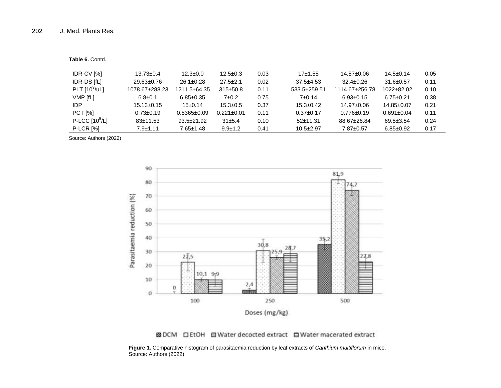**Table 6.** Contd.

| IDR-CV [%]             | $13.73 \pm 0.4$  | $12.3 \pm 0.0$    | $12.5 \pm 0.3$   | 0.03 | $17+1.55$       | 14.57±0.06       | $14.5 \pm 0.14$  | 0.05 |
|------------------------|------------------|-------------------|------------------|------|-----------------|------------------|------------------|------|
| <b>IDR-DS [fL]</b>     | $29.63 \pm 0.76$ | $26.1 \pm 0.28$   | $27.5 \pm 2.1$   | 0.02 | $37.5 + 4.53$   | $32.4 \pm 0.26$  | $31.6 \pm 0.57$  | 0.11 |
| PLT $[10^3/\text{uL}]$ | 1078.67±288.23   | 1211.5±64.35      | $315 \pm 50.8$   | 0.11 | 533.5±259.51    | 1114.67±256.78   | $1022 + 82.02$   | 0.10 |
| VMP [fL]               | $6.8 \pm 0.1$    | $6.85 \pm 0.35$   | $7\pm0.2$        | 0.75 | 7±0.14          | $6.93 \pm 0.15$  | $6.75 \pm 0.21$  | 0.38 |
| IDP                    | $15.13 \pm 0.15$ | $15+0.14$         | $15.3 \pm 0.5$   | 0.37 | $15.3 \pm 0.42$ | $14.97 \pm 0.06$ | 14.85±0.07       | 0.21 |
| <b>PCT</b> [%]         | $0.73 \pm 0.19$  | $0.8365 \pm 0.09$ | $0.221 \pm 0.01$ | 0.11 | $0.37 \pm 0.17$ | $0.776 \pm 0.19$ | $0.691 \pm 0.04$ | 0.11 |
| P-LCC $[10^9/L]$       | $83 \pm 11.53$   | $93.5 \pm 21.92$  | 31±5.4           | 0.10 | $52+11.31$      | 88.67±26.84      | $69.5 \pm 3.54$  | 0.24 |
| <b>P-LCR [%]</b>       | $7.9 \pm 1.11$   | $7.65 \pm 1.48$   | $9.9 \pm 1.2$    | 0.41 | $10.5 \pm 2.97$ | 7.87±0.57        | $6.85 \pm 0.92$  | 0.17 |

Source: Authors (2022)



图 DCM 口 EtOH 图 Water decocted extract 口 Water macerated extract

**Figure 1.** Comparative histogram of parasitaemia reduction by leaf extracts of *Canthium multiflorum* in mice. Source: Authors (2022).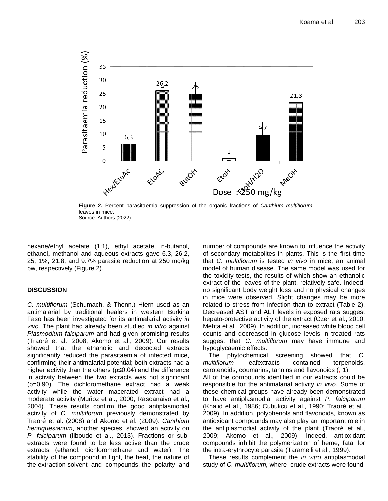

**Figure 2.** Percent parasitaemia suppression of the organic fractions of *Canthium multiflorum*  leaves in mice. Source: Authors (2022).

hexane/ethyl acetate (1:1), ethyl acetate, n-butanol, ethanol, methanol and aqueous extracts gave 6.3, 26.2, 25, 1%, 21.8, and 9.7% parasite reduction at 250 mg/kg bw, respectively (Figure 2).

# **DISCUSSION**

*C. multiflorum* (Schumach. & Thonn.) Hiern used as an antimalarial by traditional healers in western Burkina Faso has been investigated for its antimalarial activity *in vivo.* The plant had already been studied *in vitro* against *Plasmodium falciparum* and had given promising results (Traoré et al., 2008; Akomo et al., 2009)*.* Our results showed that the ethanolic and decocted extracts significantly reduced the parasitaemia of infected mice, confirming their antimalarial potential; both extracts had a higher activity than the others (p≤0.04) and the difference in activity between the two extracts was not significant (p=0.90). The dichloromethane extract had a weak activity while the water macerated extract had a moderate activity (Muñoz et al., 2000; Rasoanaivo et al., 2004). These results confirm the good antiplasmodial activity of *C. multiflorum* previously demonstrated by Traoré et al. (2008) and Akomo et al. (2009). *Canthium henriquesianum*, another species, showed an activity on *P. falciparum* (Ilboudo et al., 2013). Fractions or subextracts were found to be less active than the crude extracts (ethanol, dichloromethane and water). The stability of the compound in light, the heat, the nature of the extraction solvent and compounds, the polarity and number of compounds are known to influence the activity of secondary metabolites in plants. This is the first time that *C. multiflorum* is tested *in vivo* in mice, an animal model of human disease. The same model was used for the toxicity tests, the results of which show an ethanolic extract of the leaves of the plant, relatively safe. Indeed, no significant body weight loss and no physical changes in mice were observed. Slight changes may be more related to stress from infection than to extract (Table 2). Decreased AST and ALT levels in exposed rats suggest hepato-protective activity of the extract (Ozer et al., 2010; Mehta et al., 2009). In addition, increased white blood cell counts and decreased in glucose levels in treated rats suggest that *C. multiflorum* may have immune and hypoglycaemic effects.

The phytochemical screening showed that *C. multiflorum* leafextracts contained terpenoids, carotenoids, coumarins, tannins and flavonoids (; 1). All of the compounds identified in our extracts could be responsible for the antimalarial activity *in vivo*. Some of these chemical groups have already been demonstrated to have antiplasmodial activity against *P. falciparum*  (Khalid et al., 1986; Cubukcu et al., 1990; Traoré et al., 2009). In addition, polyphenols and flavonoids, known as antioxidant compounds may also play an important role in the antiplasmodial activity of the plant (Traoré et al., 2009; Akomo et al., 2009). Indeed, antioxidant compounds inhibit the polymerization of heme, fatal for the intra-erythrocyte parasite (Taramelli et al., 1999).

These results complement the *in vitro* antiplasmodial study of *C. multiflorum,* where crude extracts were found